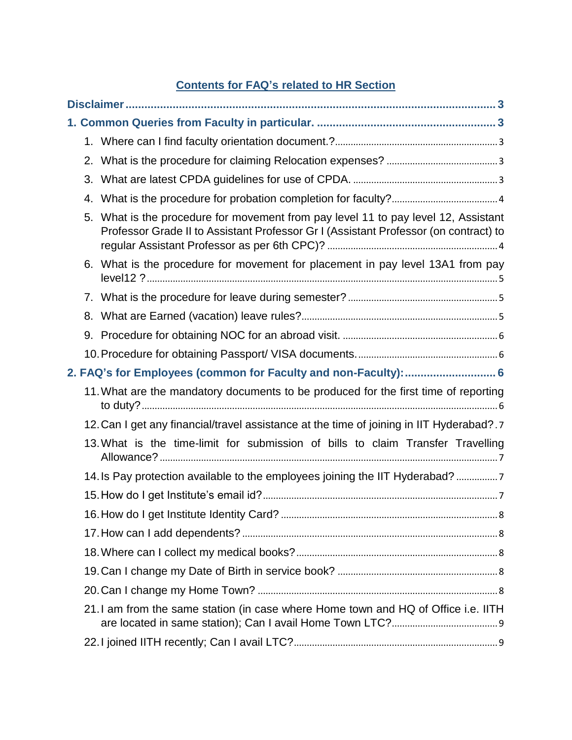# **Contents for FAQ's related to HR Section**

| 4. |                                                                                                                                                                         |  |  |
|----|-------------------------------------------------------------------------------------------------------------------------------------------------------------------------|--|--|
| 5. | What is the procedure for movement from pay level 11 to pay level 12, Assistant<br>Professor Grade II to Assistant Professor Gr I (Assistant Professor (on contract) to |  |  |
|    | 6. What is the procedure for movement for placement in pay level 13A1 from pay                                                                                          |  |  |
|    |                                                                                                                                                                         |  |  |
| 8. |                                                                                                                                                                         |  |  |
|    |                                                                                                                                                                         |  |  |
|    |                                                                                                                                                                         |  |  |
|    | 2. FAQ's for Employees (common for Faculty and non-Faculty):  6                                                                                                         |  |  |
|    | 11. What are the mandatory documents to be produced for the first time of reporting                                                                                     |  |  |
|    | 12. Can I get any financial/travel assistance at the time of joining in IIT Hyderabad?.                                                                                 |  |  |
|    | 13. What is the time-limit for submission of bills to claim Transfer Travelling                                                                                         |  |  |
|    | 14. Is Pay protection available to the employees joining the IIT Hyderabad? 7                                                                                           |  |  |
|    |                                                                                                                                                                         |  |  |
|    |                                                                                                                                                                         |  |  |
|    |                                                                                                                                                                         |  |  |
|    |                                                                                                                                                                         |  |  |
|    |                                                                                                                                                                         |  |  |
|    |                                                                                                                                                                         |  |  |
|    | 21. I am from the same station (in case where Home town and HQ of Office i.e. IITH                                                                                      |  |  |
|    |                                                                                                                                                                         |  |  |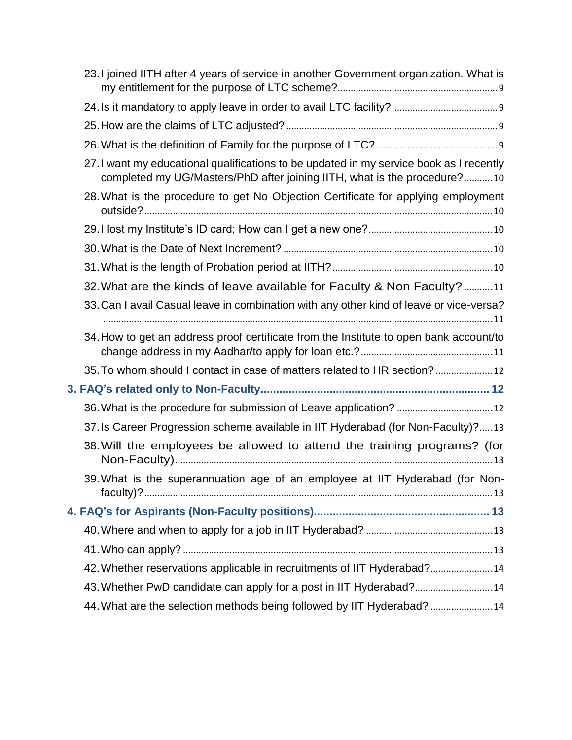| 23. I joined IITH after 4 years of service in another Government organization. What is                                                                              |
|---------------------------------------------------------------------------------------------------------------------------------------------------------------------|
|                                                                                                                                                                     |
|                                                                                                                                                                     |
|                                                                                                                                                                     |
| 27. I want my educational qualifications to be updated in my service book as I recently<br>completed my UG/Masters/PhD after joining IITH, what is the procedure?10 |
| 28. What is the procedure to get No Objection Certificate for applying employment                                                                                   |
|                                                                                                                                                                     |
|                                                                                                                                                                     |
|                                                                                                                                                                     |
| 32. What are the kinds of leave available for Faculty & Non Faculty? 11                                                                                             |
| 33. Can I avail Casual leave in combination with any other kind of leave or vice-versa?                                                                             |
| 34. How to get an address proof certificate from the Institute to open bank account/to                                                                              |
| 35. To whom should I contact in case of matters related to HR section?  12                                                                                          |
|                                                                                                                                                                     |
|                                                                                                                                                                     |
| 37. Is Career Progression scheme available in IIT Hyderabad (for Non-Faculty)?13                                                                                    |
| 38. Will the employees be allowed to attend the training programs? (for                                                                                             |
| 39. What is the superannuation age of an employee at IIT Hyderabad (for Non-                                                                                        |
|                                                                                                                                                                     |
|                                                                                                                                                                     |
|                                                                                                                                                                     |
| 42. Whether reservations applicable in recruitments of IIT Hyderabad? 14                                                                                            |
| 43. Whether PwD candidate can apply for a post in IIT Hyderabad? 14                                                                                                 |
| 44. What are the selection methods being followed by IIT Hyderabad?  14                                                                                             |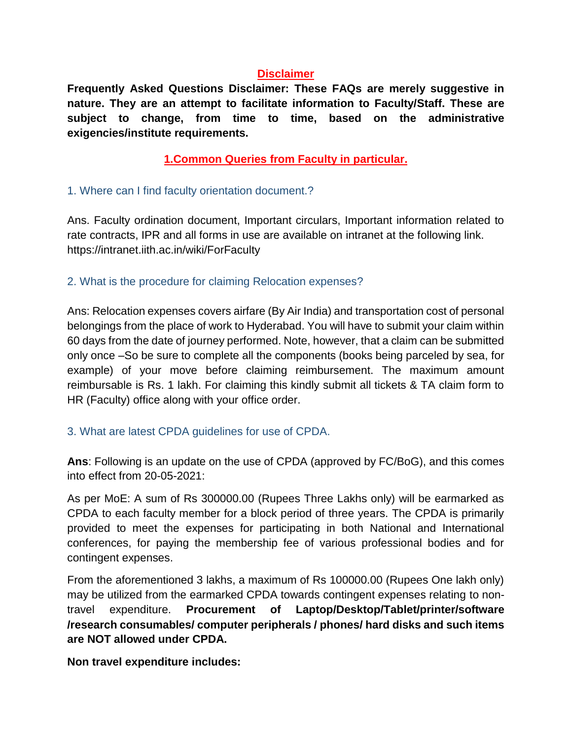#### **Disclaimer**

<span id="page-2-0"></span>**Frequently Asked Questions Disclaimer: These FAQs are merely suggestive in nature. They are an attempt to facilitate information to Faculty/Staff. These are subject to change, from time to time, based on the administrative exigencies/institute requirements.**

**1.Common Queries from Faculty in particular.**

#### <span id="page-2-2"></span><span id="page-2-1"></span>1. Where can I find faculty orientation document.?

Ans. Faculty ordination document, Important circulars, Important information related to rate contracts, IPR and all forms in use are available on intranet at the following link. <https://intranet.iith.ac.in/wiki/ForFaculty>

### <span id="page-2-3"></span>2. What is the procedure for claiming Relocation expenses?

Ans: Relocation expenses covers airfare (By Air India) and transportation cost of personal belongings from the place of work to Hyderabad. You will have to submit your claim within 60 days from the date of journey performed. Note, however, that a claim can be submitted only once –So be sure to complete all the components (books being parceled by sea, for example) of your move before claiming reimbursement. The maximum amount reimbursable is Rs. 1 lakh. For claiming this kindly submit all tickets & TA claim form to HR (Faculty) office along with your office order.

#### <span id="page-2-4"></span>3. What are latest CPDA guidelines for use of CPDA.

**Ans**: Following is an update on the use of CPDA (approved by FC/BoG), and this comes into effect from 20-05-2021:

As per MoE: A sum of Rs 300000.00 (Rupees Three Lakhs only) will be earmarked as CPDA to each faculty member for a block period of three years. The CPDA is primarily provided to meet the expenses for participating in both National and International conferences, for paying the membership fee of various professional bodies and for contingent expenses.

From the aforementioned 3 lakhs, a maximum of Rs 100000.00 (Rupees One lakh only) may be utilized from the earmarked CPDA towards contingent expenses relating to nontravel expenditure. **Procurement of Laptop/Desktop/Tablet/printer/software /research consumables/ computer peripherals / phones/ hard disks and such items are NOT allowed under CPDA.**

**Non travel expenditure includes:**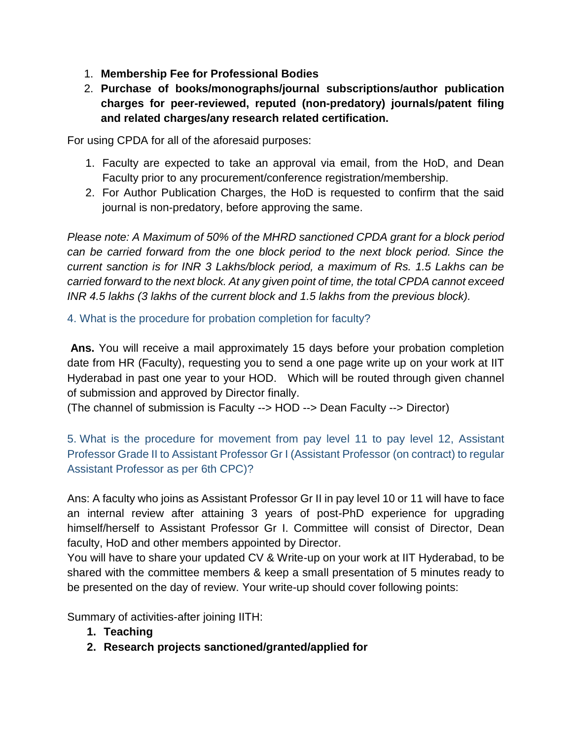- 1. **Membership Fee for Professional Bodies**
- 2. **Purchase of books/monographs/journal subscriptions/author publication charges for peer-reviewed, reputed (non-predatory) journals/patent filing and related charges/any research related certification.**

For using CPDA for all of the aforesaid purposes:

- 1. Faculty are expected to take an approval via email, from the HoD, and Dean Faculty prior to any procurement/conference registration/membership.
- 2. For Author Publication Charges, the HoD is requested to confirm that the said journal is non-predatory, before approving the same.

*Please note: A Maximum of 50% of the MHRD sanctioned CPDA grant for a block period can be carried forward from the one block period to the next block period. Since the current sanction is for INR 3 Lakhs/block period, a maximum of Rs. 1.5 Lakhs can be carried forward to the next block. At any given point of time, the total CPDA cannot exceed INR 4.5 lakhs (3 lakhs of the current block and 1.5 lakhs from the previous block).*

### <span id="page-3-0"></span>4. What is the procedure for probation completion for faculty?

**Ans.** You will receive a mail approximately 15 days before your probation completion date from HR (Faculty), requesting you to send a one page write up on your work at IIT Hyderabad in past one year to your HOD. Which will be routed through given channel of submission and approved by Director finally.

(The channel of submission is Faculty --> HOD --> Dean Faculty --> Director)

<span id="page-3-1"></span>5. What is the procedure for movement from pay level 11 to pay level 12, Assistant Professor Grade II to Assistant Professor Gr I (Assistant Professor (on contract) to regular Assistant Professor as per 6th CPC)?

Ans: A faculty who joins as Assistant Professor Gr II in pay level 10 or 11 will have to face an internal review after attaining 3 years of post-PhD experience for upgrading himself/herself to Assistant Professor Gr I. Committee will consist of Director, Dean faculty, HoD and other members appointed by Director.

You will have to share your updated CV & Write-up on your work at IIT Hyderabad, to be shared with the committee members & keep a small presentation of 5 minutes ready to be presented on the day of review. Your write-up should cover following points:

Summary of activities-after joining IITH:

- **1. Teaching**
- **2. Research projects sanctioned/granted/applied for**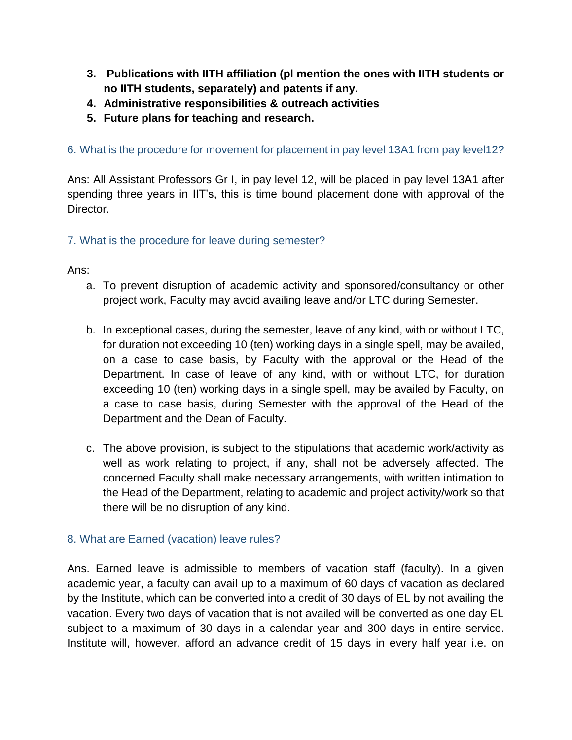- **3. Publications with IITH affiliation (pl mention the ones with IITH students or no IITH students, separately) and patents if any.**
- **4. Administrative responsibilities & outreach activities**
- **5. Future plans for teaching and research.**

<span id="page-4-0"></span>6. What is the procedure for movement for placement in pay level 13A1 from pay level12?

Ans: All Assistant Professors Gr I, in pay level 12, will be placed in pay level 13A1 after spending three years in IIT's, this is time bound placement done with approval of the Director.

#### <span id="page-4-1"></span>7. What is the procedure for leave during semester?

Ans:

- a. To prevent disruption of academic activity and sponsored/consultancy or other project work, Faculty may avoid availing leave and/or LTC during Semester.
- b. In exceptional cases, during the semester, leave of any kind, with or without LTC, for duration not exceeding 10 (ten) working days in a single spell, may be availed, on a case to case basis, by Faculty with the approval or the Head of the Department. In case of leave of any kind, with or without LTC, for duration exceeding 10 (ten) working days in a single spell, may be availed by Faculty, on a case to case basis, during Semester with the approval of the Head of the Department and the Dean of Faculty.
- c. The above provision, is subject to the stipulations that academic work/activity as well as work relating to project, if any, shall not be adversely affected. The concerned Faculty shall make necessary arrangements, with written intimation to the Head of the Department, relating to academic and project activity/work so that there will be no disruption of any kind.

#### <span id="page-4-2"></span>8. What are Earned (vacation) leave rules?

Ans. Earned leave is admissible to members of vacation staff (faculty). In a given academic year, a faculty can avail up to a maximum of 60 days of vacation as declared by the Institute, which can be converted into a credit of 30 days of EL by not availing the vacation. Every two days of vacation that is not availed will be converted as one day EL subject to a maximum of 30 days in a calendar year and 300 days in entire service. Institute will, however, afford an advance credit of 15 days in every half year i.e. on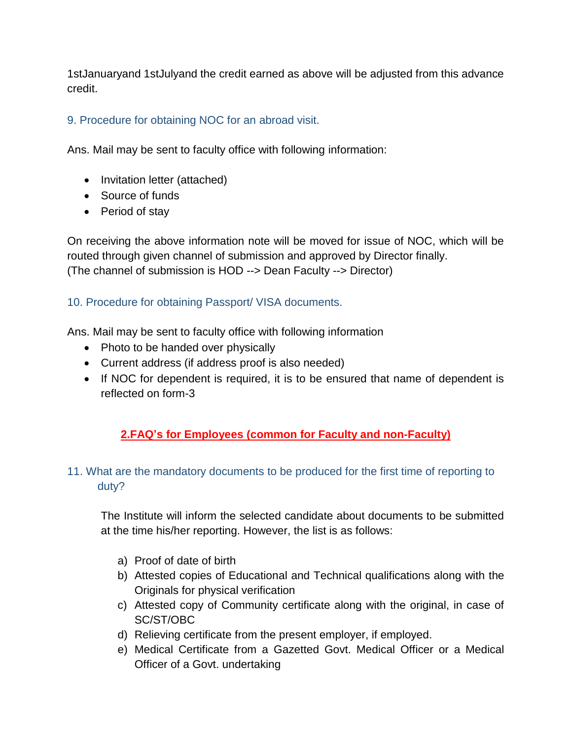1stJanuaryand 1stJulyand the credit earned as above will be adjusted from this advance credit.

# <span id="page-5-0"></span>9. Procedure for obtaining NOC for an abroad visit.

Ans. Mail may be sent to faculty office with following information:

- Invitation letter (attached)
- Source of funds
- Period of stay

On receiving the above information note will be moved for issue of NOC, which will be routed through given channel of submission and approved by Director finally. (The channel of submission is HOD --> Dean Faculty --> Director)

# <span id="page-5-1"></span>10. Procedure for obtaining Passport/ VISA documents.

Ans. Mail may be sent to faculty office with following information

- Photo to be handed over physically
- Current address (if address proof is also needed)
- If NOC for dependent is required, it is to be ensured that name of dependent is reflected on form-3

# **2.FAQ's for Employees (common for Faculty and non-Faculty)**

# <span id="page-5-3"></span><span id="page-5-2"></span>11. What are the mandatory documents to be produced for the first time of reporting to duty?

The Institute will inform the selected candidate about documents to be submitted at the time his/her reporting. However, the list is as follows:

- a) Proof of date of birth
- b) Attested copies of Educational and Technical qualifications along with the Originals for physical verification
- c) Attested copy of Community certificate along with the original, in case of SC/ST/OBC
- d) Relieving certificate from the present employer, if employed.
- e) Medical Certificate from a Gazetted Govt. Medical Officer or a Medical Officer of a Govt. undertaking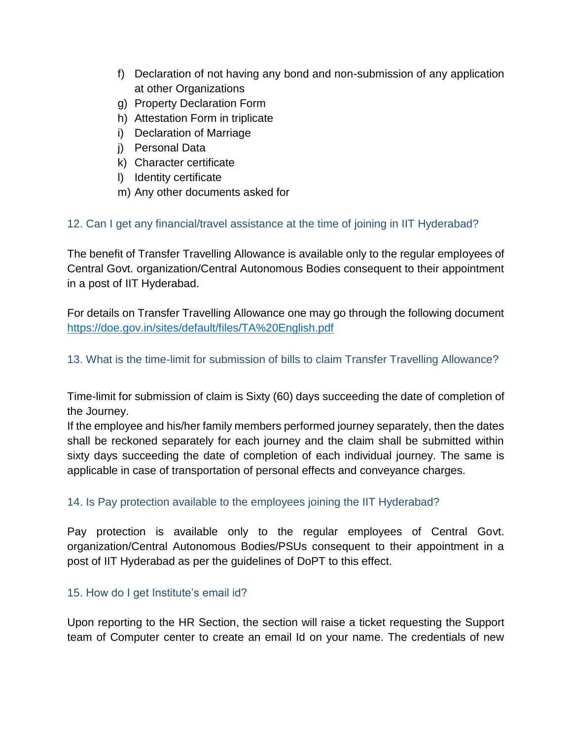- f) Declaration of not having any bond and non-submission of any application at other Organizations
- g) Property Declaration Form
- h) Attestation Form in triplicate
- i) Declaration of Marriage
- j) Personal Data
- k) Character certificate
- l) Identity certificate
- m) Any other documents asked for

# <span id="page-6-0"></span>12. Can I get any financial/travel assistance at the time of joining in IIT Hyderabad?

The benefit of Transfer Travelling Allowance is available only to the regular employees of Central Govt. organization/Central Autonomous Bodies consequent to their appointment in a post of IIT Hyderabad.

For details on Transfer Travelling Allowance one may go through the following document <https://doe.gov.in/sites/default/files/TA%20English.pdf>

# <span id="page-6-1"></span>13. What is the time-limit for submission of bills to claim Transfer Travelling Allowance?

Time-limit for submission of claim is Sixty (60) days succeeding the date of completion of the Journey.

If the employee and his/her family members performed journey separately, then the dates shall be reckoned separately for each journey and the claim shall be submitted within sixty days succeeding the date of completion of each individual journey. The same is applicable in case of transportation of personal effects and conveyance charges.

# <span id="page-6-2"></span>14. Is Pay protection available to the employees joining the IIT Hyderabad?

Pay protection is available only to the regular employees of Central Govt. organization/Central Autonomous Bodies/PSUs consequent to their appointment in a post of IIT Hyderabad as per the guidelines of DoPT to this effect.

# <span id="page-6-3"></span>15. How do I get Institute's email id?

Upon reporting to the HR Section, the section will raise a ticket requesting the Support team of Computer center to create an email Id on your name. The credentials of new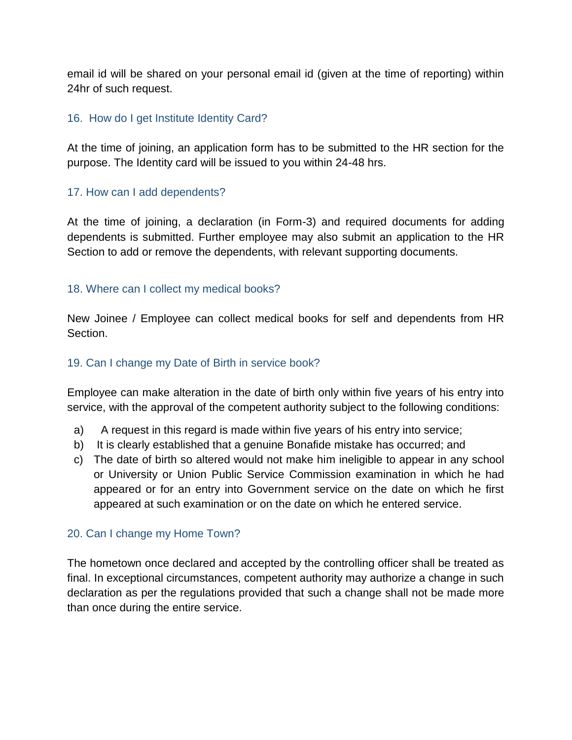email id will be shared on your personal email id (given at the time of reporting) within 24hr of such request.

#### <span id="page-7-0"></span>16. How do I get Institute Identity Card?

At the time of joining, an application form has to be submitted to the HR section for the purpose. The Identity card will be issued to you within 24-48 hrs.

#### <span id="page-7-1"></span>17. How can I add dependents?

At the time of joining, a declaration (in Form-3) and required documents for adding dependents is submitted. Further employee may also submit an application to the HR Section to add or remove the dependents, with relevant supporting documents.

#### <span id="page-7-2"></span>18. Where can I collect my medical books?

New Joinee / Employee can collect medical books for self and dependents from HR Section.

#### <span id="page-7-3"></span>19. Can I change my Date of Birth in service book?

Employee can make alteration in the date of birth only within five years of his entry into service, with the approval of the competent authority subject to the following conditions:

- a) A request in this regard is made within five years of his entry into service;
- b) It is clearly established that a genuine Bonafide mistake has occurred; and
- c) The date of birth so altered would not make him ineligible to appear in any school or University or Union Public Service Commission examination in which he had appeared or for an entry into Government service on the date on which he first appeared at such examination or on the date on which he entered service.

#### <span id="page-7-4"></span>20. Can I change my Home Town?

The hometown once declared and accepted by the controlling officer shall be treated as final. In exceptional circumstances, competent authority may authorize a change in such declaration as per the regulations provided that such a change shall not be made more than once during the entire service.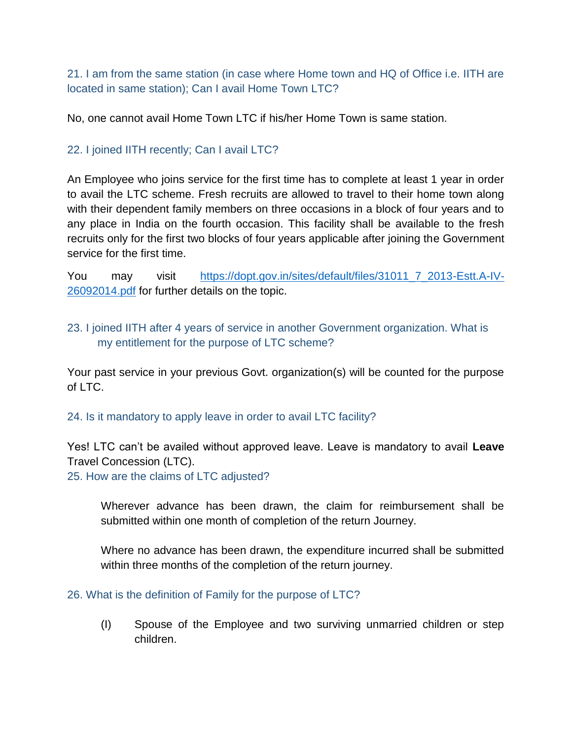<span id="page-8-0"></span>21. I am from the same station (in case where Home town and HQ of Office i.e. IITH are located in same station); Can I avail Home Town LTC?

No, one cannot avail Home Town LTC if his/her Home Town is same station.

# <span id="page-8-1"></span>22. I joined IITH recently; Can I avail LTC?

An Employee who joins service for the first time has to complete at least 1 year in order to avail the LTC scheme. Fresh recruits are allowed to travel to their home town along with their dependent family members on three occasions in a block of four years and to any place in India on the fourth occasion. This facility shall be available to the fresh recruits only for the first two blocks of four years applicable after joining the Government service for the first time.

You may visit [https://dopt.gov.in/sites/default/files/31011\\_7\\_2013-Estt.A-IV-](https://dopt.gov.in/sites/default/files/31011_7_2013-Estt.A-IV-26092014.pdf)[26092014.pdf](https://dopt.gov.in/sites/default/files/31011_7_2013-Estt.A-IV-26092014.pdf) for further details on the topic.

# <span id="page-8-2"></span>23. I joined IITH after 4 years of service in another Government organization. What is my entitlement for the purpose of LTC scheme?

Your past service in your previous Govt. organization(s) will be counted for the purpose of LTC.

#### <span id="page-8-3"></span>24. Is it mandatory to apply leave in order to avail LTC facility?

Yes! LTC can't be availed without approved leave. Leave is mandatory to avail **Leave**  Travel Concession (LTC).

<span id="page-8-4"></span>25. How are the claims of LTC adjusted?

Wherever advance has been drawn, the claim for reimbursement shall be submitted within one month of completion of the return Journey.

Where no advance has been drawn, the expenditure incurred shall be submitted within three months of the completion of the return journey.

#### <span id="page-8-5"></span>26. What is the definition of Family for the purpose of LTC?

(I) Spouse of the Employee and two surviving unmarried children or step children.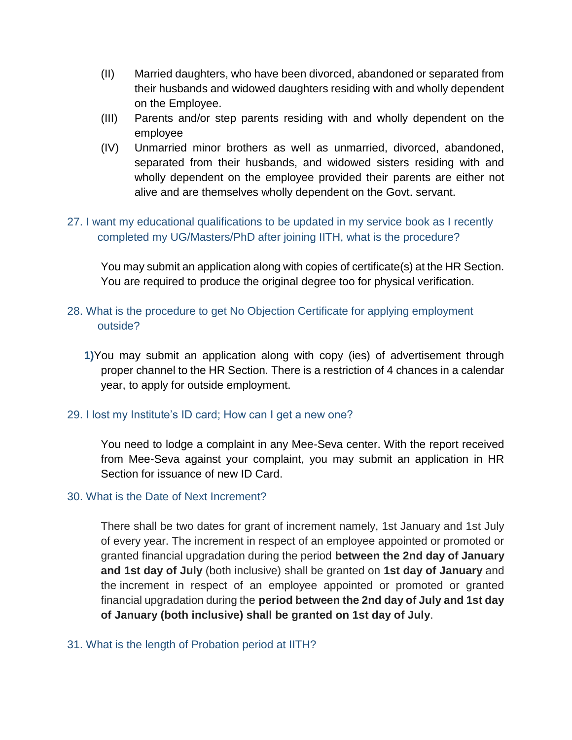- (II) Married daughters, who have been divorced, abandoned or separated from their husbands and widowed daughters residing with and wholly dependent on the Employee.
- (III) Parents and/or step parents residing with and wholly dependent on the employee
- (IV) Unmarried minor brothers as well as unmarried, divorced, abandoned, separated from their husbands, and widowed sisters residing with and wholly dependent on the employee provided their parents are either not alive and are themselves wholly dependent on the Govt. servant.

# <span id="page-9-0"></span>27. I want my educational qualifications to be updated in my service book as I recently completed my UG/Masters/PhD after joining IITH, what is the procedure?

You may submit an application along with copies of certificate(s) at the HR Section. You are required to produce the original degree too for physical verification.

# <span id="page-9-1"></span>28. What is the procedure to get No Objection Certificate for applying employment outside?

**1)**You may submit an application along with copy (ies) of advertisement through proper channel to the HR Section. There is a restriction of 4 chances in a calendar year, to apply for outside employment.

### <span id="page-9-2"></span>29. I lost my Institute's ID card; How can I get a new one?

You need to lodge a complaint in any Mee-Seva center. With the report received from Mee-Seva against your complaint, you may submit an application in HR Section for issuance of new ID Card.

#### <span id="page-9-3"></span>30. What is the Date of Next Increment?

There shall be two dates for grant of increment namely, 1st January and 1st July of every year. The increment in respect of an employee appointed or promoted or granted financial upgradation during the period **between the 2nd day of January and 1st day of July** (both inclusive) shall be granted on **1st day of January** and the increment in respect of an employee appointed or promoted or granted financial upgradation during the **period between the 2nd day of July and 1st day of January (both inclusive) shall be granted on 1st day of July**.

#### <span id="page-9-4"></span>31. What is the length of Probation period at IITH?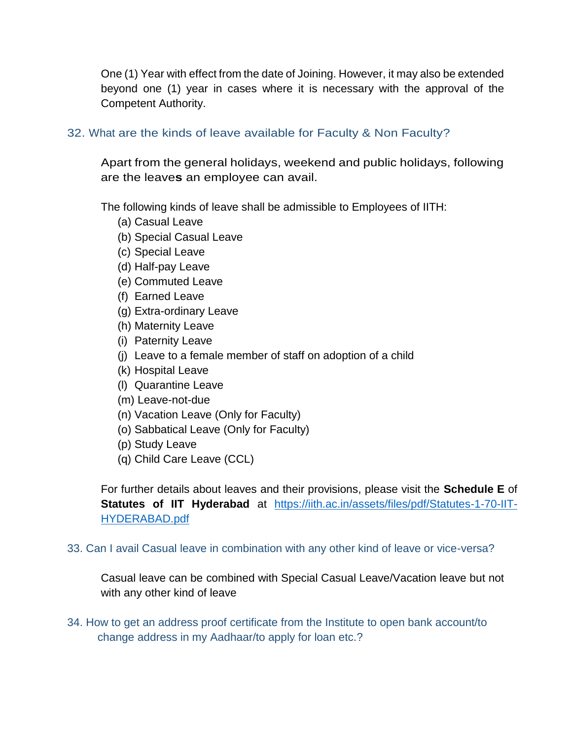One (1) Year with effect from the date of Joining. However, it may also be extended beyond one (1) year in cases where it is necessary with the approval of the Competent Authority.

### <span id="page-10-0"></span>32. What are the kinds of leave available for Faculty & Non Faculty?

Apart from the general holidays, weekend and public holidays, following are the leave**s** an employee can avail.

The following kinds of leave shall be admissible to Employees of IITH:

- (a) Casual Leave
- (b) Special Casual Leave
- (c) Special Leave
- (d) Half-pay Leave
- (e) Commuted Leave
- (f) Earned Leave
- (g) Extra-ordinary Leave
- (h) Maternity Leave
- (i) Paternity Leave
- (j) Leave to a female member of staff on adoption of a child
- (k) Hospital Leave
- (l) Quarantine Leave
- (m) Leave-not-due
- (n) Vacation Leave (Only for Faculty)
- (o) Sabbatical Leave (Only for Faculty)
- (p) Study Leave
- (q) Child Care Leave (CCL)

For further details about leaves and their provisions, please visit the **Schedule E** of **Statutes of IIT Hyderabad** at [https://iith.ac.in/assets/files/pdf/Statutes-1-70-IIT-](https://iith.ac.in/assets/files/pdf/Statutes-1-70-IIT-HYDERABAD.pdf)[HYDERABAD.pdf](https://iith.ac.in/assets/files/pdf/Statutes-1-70-IIT-HYDERABAD.pdf)

#### <span id="page-10-1"></span>33. Can I avail Casual leave in combination with any other kind of leave or vice-versa?

Casual leave can be combined with Special Casual Leave/Vacation leave but not with any other kind of leave

<span id="page-10-2"></span>34. How to get an address proof certificate from the Institute to open bank account/to change address in my Aadhaar/to apply for loan etc.?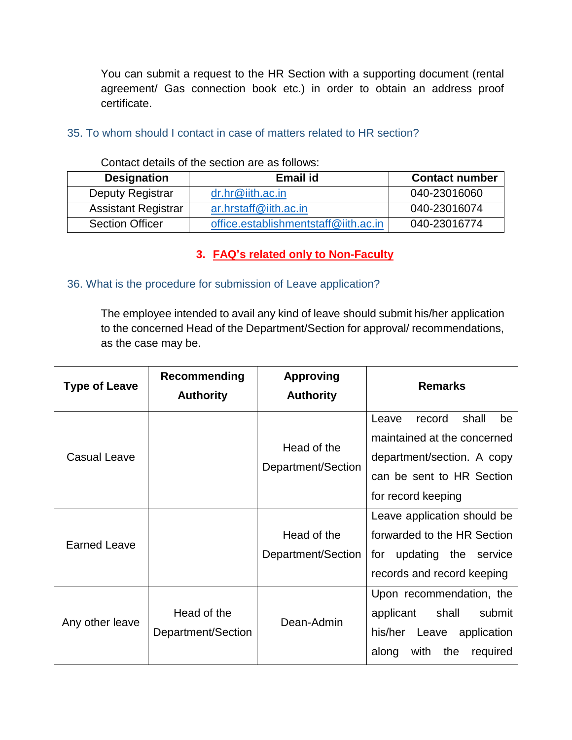You can submit a request to the HR Section with a supporting document (rental agreement/ Gas connection book etc.) in order to obtain an address proof certificate.

#### <span id="page-11-0"></span>35. To whom should I contact in case of matters related to HR section?

| <b>Designation</b>         | Email id                             | <b>Contact number</b> |
|----------------------------|--------------------------------------|-----------------------|
| Deputy Registrar           | $dr.hr@$ iith.ac.in                  | 040-23016060          |
| <b>Assistant Registrar</b> | ar.hrstaff@iith.ac.in                | 040-23016074          |
| <b>Section Officer</b>     | office.establishmentstaff@iith.ac.in | 040-23016774          |

Contact details of the section are as follows:

### **3. FAQ's related only to Non-Faculty**

#### <span id="page-11-2"></span><span id="page-11-1"></span>36. What is the procedure for submission of Leave application?

The employee intended to avail any kind of leave should submit his/her application to the concerned Head of the Department/Section for approval/ recommendations, as the case may be.

| <b>Type of Leave</b> | Recommending<br><b>Authority</b>  | <b>Approving</b><br><b>Authority</b> | <b>Remarks</b>                                                                                                                                 |
|----------------------|-----------------------------------|--------------------------------------|------------------------------------------------------------------------------------------------------------------------------------------------|
| <b>Casual Leave</b>  |                                   | Head of the<br>Department/Section    | shall<br>record<br>be<br>Leave<br>maintained at the concerned<br>department/section. A copy<br>can be sent to HR Section<br>for record keeping |
| <b>Earned Leave</b>  |                                   | Head of the<br>Department/Section    | Leave application should be<br>forwarded to the HR Section<br>for updating the service<br>records and record keeping                           |
| Any other leave      | Head of the<br>Department/Section | Dean-Admin                           | Upon recommendation, the<br>shall<br>submit<br>applicant<br>his/her<br>Leave<br>application<br>with<br>the<br>required<br>along                |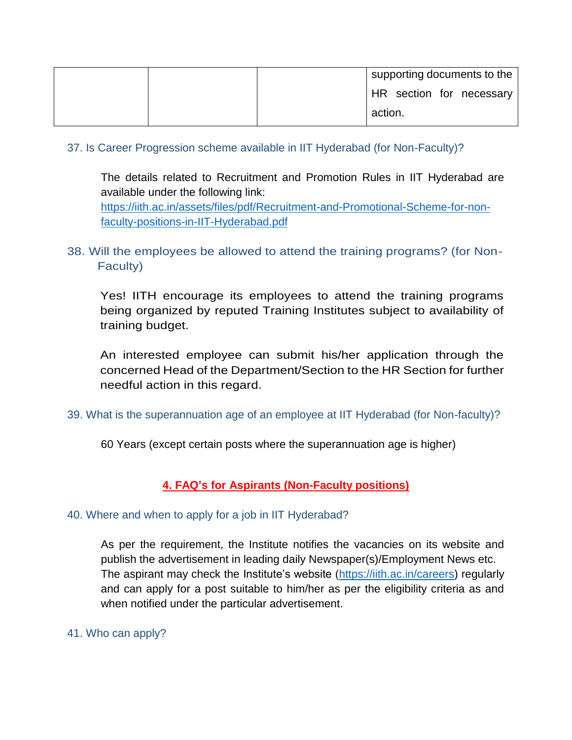| supporting documents to the |
|-----------------------------|
| HR section for necessary    |
| action.                     |

#### <span id="page-12-0"></span>37. Is Career Progression scheme available in IIT Hyderabad (for Non-Faculty)?

The details related to Recruitment and Promotion Rules in IIT Hyderabad are available under the following link: [https://iith.ac.in/assets/files/pdf/Recruitment-and-Promotional-Scheme-for-non](https://iith.ac.in/assets/files/pdf/Recruitment-and-Promotional-Scheme-for-non-faculty-positions-in-IIT-Hyderabad.pdf)[faculty-positions-in-IIT-Hyderabad.pdf](https://iith.ac.in/assets/files/pdf/Recruitment-and-Promotional-Scheme-for-non-faculty-positions-in-IIT-Hyderabad.pdf)

# <span id="page-12-1"></span>38. Will the employees be allowed to attend the training programs? (for Non-Faculty)

Yes! IITH encourage its employees to attend the training programs being organized by reputed Training Institutes subject to availability of training budget.

An interested employee can submit his/her application through the concerned Head of the Department/Section to the HR Section for further needful action in this regard.

#### <span id="page-12-2"></span>39. What is the superannuation age of an employee at IIT Hyderabad (for Non-faculty)?

60 Years (except certain posts where the superannuation age is higher)

### <span id="page-12-3"></span>**4. FAQ's for Aspirants (Non-Faculty positions)**

#### <span id="page-12-4"></span>40. Where and when to apply for a job in IIT Hyderabad?

As per the requirement, the Institute notifies the vacancies on its website and publish the advertisement in leading daily Newspaper(s)/Employment News etc. The aspirant may check the Institute's website [\(https://iith.ac.in/careers\)](https://iith.ac.in/careers) regularly and can apply for a post suitable to him/her as per the eligibility criteria as and when notified under the particular advertisement.

#### <span id="page-12-5"></span>41. Who can apply?